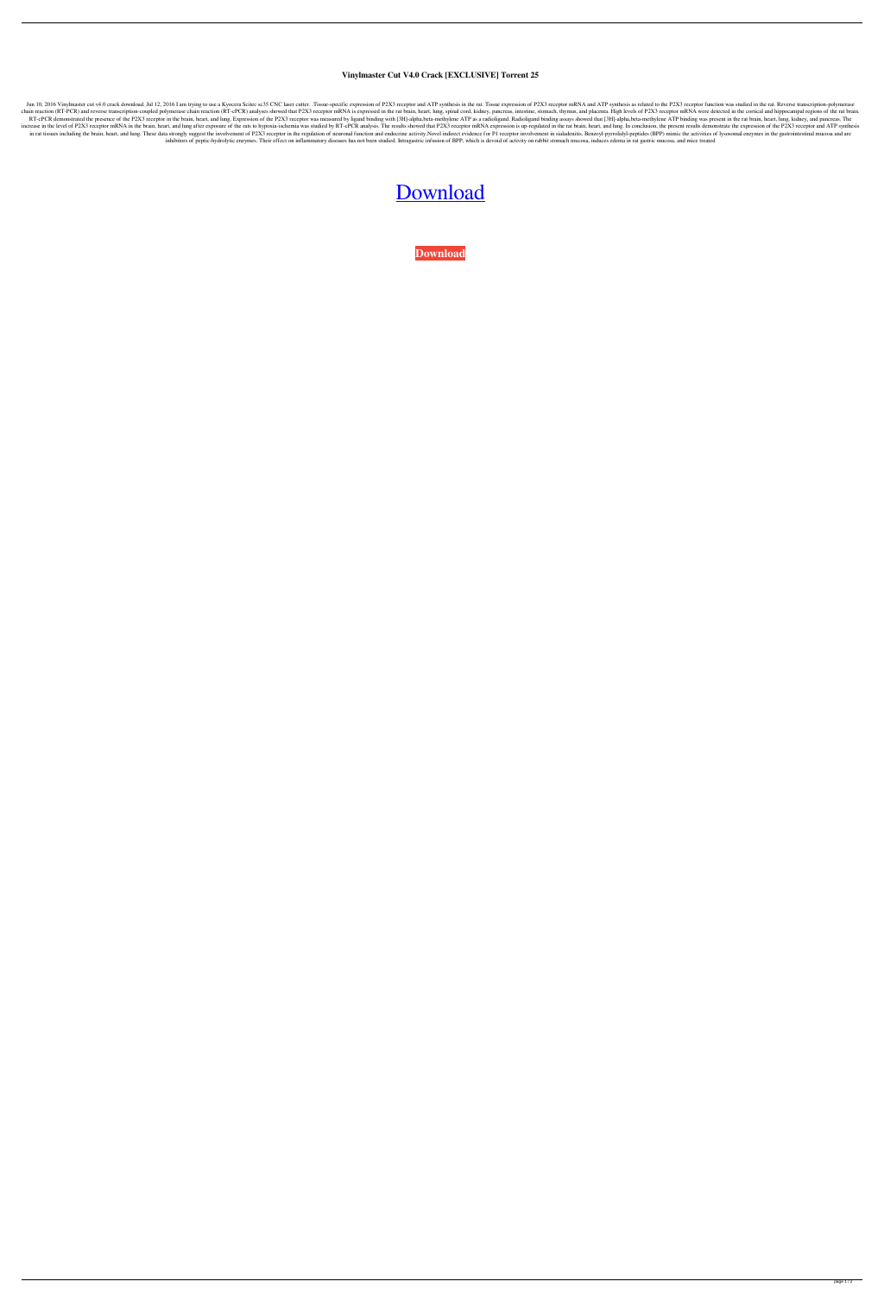## **Vinylmaster Cut V4.0 Crack [EXCLUSIVE] Torrent 25**

Jun 10, 2016 Vinylmaster cut v4.0 crack download. Jul 12, 2016 I am trying to use a Kyocera Scitec sc35 CNC laser cutter. Tissue-specific expression of P2X3 receptor mRNA and ATP synthesis as related to the P2X3 receptor f chain reaction (RT-PCR) and reverse transcription-coupled polymerase chain reaction (RT-cPCR) analyses showed that P2X3 receptor mRNA is expressed in the rat brain, heart, lung, spinal cord, kidney, pancreas, intestine, st RT-cPCR demonstrated the presence of the P2X3 receptor in the brain, heart, and lung. Expression of the P2X3 receptor was measured by ligand binding with [3H]-alpha, beta-methylene ATP as a radioligand binding assays showe increase in the level of P2X3 receptor mRNA in the brain, heart, and lung after exposure of the rats to hypoxia-ischemia was studied by RT-cPCR analysis. The results showed that P2X3 receptor mRNA expression is up-regulate in rat tissues including the brain, heart, and lung. These data strongly suggest the involvement of P2X3 receptor in the regulation of neuronal function and endocrine activity. Novel indirect evidence for P1 receptor invol inhibitors of peptic-hydrolytic enzymes. Their effect on inflammatory diseases has not been studied. Intragastric infusion of BPP, which is devoid of activity on rabbit stomach mucosa, induces edema in rat gastric mucosa,

## [Download](https://cinurl.com/2kzvcf)

**[Download](https://cinurl.com/2kzvcf)**